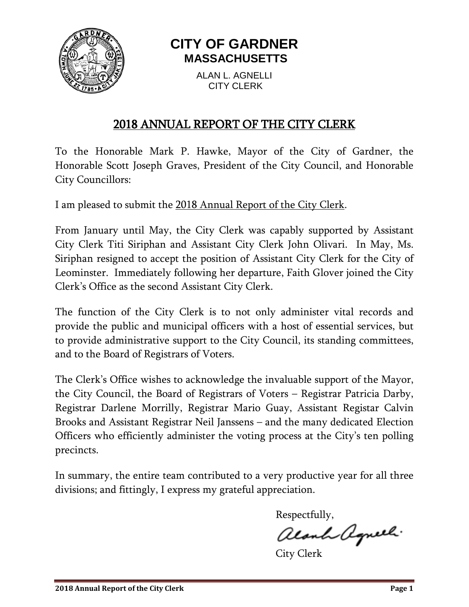

# **CITY OF GARDNER MASSACHUSETTS**

ALAN L. AGNELLI CITY CLERK

# 2018 ANNUAL REPORT OF THE CITY CLERK

To the Honorable Mark P. Hawke, Mayor of the City of Gardner, the Honorable Scott Joseph Graves, President of the City Council, and Honorable City Councillors:

I am pleased to submit the 2018 Annual Report of the City Clerk.

From January until May, the City Clerk was capably supported by Assistant City Clerk Titi Siriphan and Assistant City Clerk John Olivari. In May, Ms. Siriphan resigned to accept the position of Assistant City Clerk for the City of Leominster. Immediately following her departure, Faith Glover joined the City Clerk's Office as the second Assistant City Clerk.

The function of the City Clerk is to not only administer vital records and provide the public and municipal officers with a host of essential services, but to provide administrative support to the City Council, its standing committees, and to the Board of Registrars of Voters.

The Clerk's Office wishes to acknowledge the invaluable support of the Mayor, the City Council, the Board of Registrars of Voters – Registrar Patricia Darby, Registrar Darlene Morrilly, Registrar Mario Guay, Assistant Registar Calvin Brooks and Assistant Registrar Neil Janssens – and the many dedicated Election Officers who efficiently administer the voting process at the City's ten polling precincts.

In summary, the entire team contributed to a very productive year for all three divisions; and fittingly, I express my grateful appreciation.

Respectfully,

alanh agneel.

City Clerk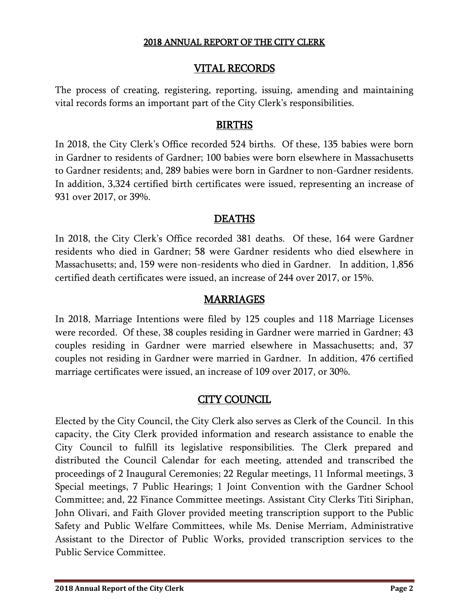### VITAL RECORDS

The process of creating, registering, reporting, issuing, amending and maintaining vital records forms an important part of the City Clerk's responsibilities.

### BIRTHS

In 2018, the City Clerk's Office recorded 524 births. Of these, 135 babies were born in Gardner to residents of Gardner; 100 babies were born elsewhere in Massachusetts to Gardner residents; and, 289 babies were born in Gardner to non-Gardner residents. In addition, 3,324 certified birth certificates were issued, representing an increase of 931 over 2017, or 39%.

### DEATHS

In 2018, the City Clerk's Office recorded 381 deaths. Of these, 164 were Gardner residents who died in Gardner; 58 were Gardner residents who died elsewhere in Massachusetts; and, 159 were non-residents who died in Gardner. In addition, 1,856 certified death certificates were issued, an increase of 244 over 2017, or 15%.

### MARRIAGES

In 2018, Marriage Intentions were filed by 125 couples and 118 Marriage Licenses were recorded. Of these, 38 couples residing in Gardner were married in Gardner; 43 couples residing in Gardner were married elsewhere in Massachusetts; and, 37 couples not residing in Gardner were married in Gardner. In addition, 476 certified marriage certificates were issued, an increase of 109 over 2017, or 30%.

### CITY COUNCIL

Elected by the City Council, the City Clerk also serves as Clerk of the Council. In this capacity, the City Clerk provided information and research assistance to enable the City Council to fulfill its legislative responsibilities. The Clerk prepared and distributed the Council Calendar for each meeting, attended and transcribed the proceedings of 2 Inaugural Ceremonies; 22 Regular meetings, 11 Informal meetings, 3 Special meetings, 7 Public Hearings; 1 Joint Convention with the Gardner School Committee; and, 22 Finance Committee meetings. Assistant City Clerks Titi Siriphan, John Olivari, and Faith Glover provided meeting transcription support to the Public Safety and Public Welfare Committees, while Ms. Denise Merriam, Administrative Assistant to the Director of Public Works, provided transcription services to the Public Service Committee.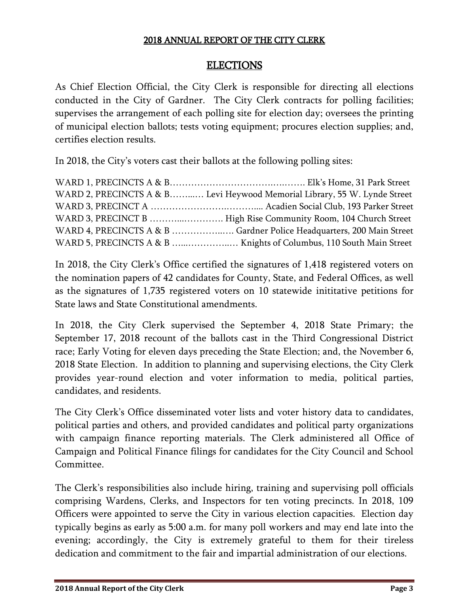### ELECTIONS

As Chief Election Official, the City Clerk is responsible for directing all elections conducted in the City of Gardner. The City Clerk contracts for polling facilities; supervises the arrangement of each polling site for election day; oversees the printing of municipal election ballots; tests voting equipment; procures election supplies; and, certifies election results.

In 2018, the City's voters cast their ballots at the following polling sites:

| WARD 2, PRECINCTS A & B Levi Heywood Memorial Library, 55 W. Lynde Street |
|---------------------------------------------------------------------------|
|                                                                           |
| WARD 3, PRECINCT B  High Rise Community Room, 104 Church Street           |
| WARD 4, PRECINCTS A & B  Gardner Police Headquarters, 200 Main Street     |
|                                                                           |

In 2018, the City Clerk's Office certified the signatures of 1,418 registered voters on the nomination papers of 42 candidates for County, State, and Federal Offices, as well as the signatures of 1,735 registered voters on 10 statewide inititative petitions for State laws and State Constitutional amendments.

In 2018, the City Clerk supervised the September 4, 2018 State Primary; the September 17, 2018 recount of the ballots cast in the Third Congressional District race; Early Voting for eleven days preceding the State Election; and, the November 6, 2018 State Election. In addition to planning and supervising elections, the City Clerk provides year-round election and voter information to media, political parties, candidates, and residents.

The City Clerk's Office disseminated voter lists and voter history data to candidates, political parties and others, and provided candidates and political party organizations with campaign finance reporting materials. The Clerk administered all Office of Campaign and Political Finance filings for candidates for the City Council and School Committee.

The Clerk's responsibilities also include hiring, training and supervising poll officials comprising Wardens, Clerks, and Inspectors for ten voting precincts. In 2018, 109 Officers were appointed to serve the City in various election capacities. Election day typically begins as early as 5:00 a.m. for many poll workers and may end late into the evening; accordingly, the City is extremely grateful to them for their tireless dedication and commitment to the fair and impartial administration of our elections.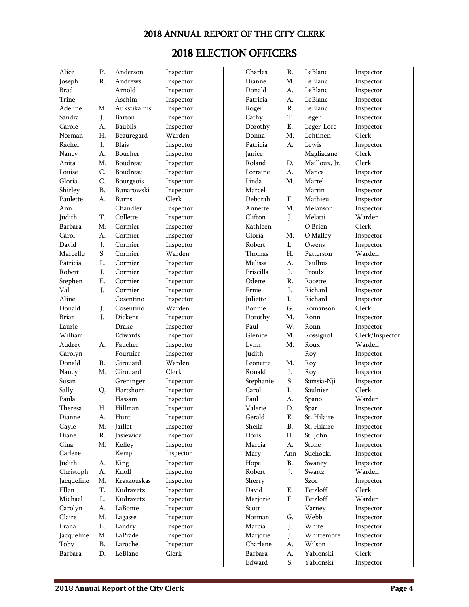# 2018 ELECTION OFFICERS

| Alice       | P.        | Anderson     | Inspector | Charles   | R.         | LeBlanc       | Inspector       |
|-------------|-----------|--------------|-----------|-----------|------------|---------------|-----------------|
| Joseph      | R.        | Andrews      | Inspector | Dianne    | M.         | LeBlanc       | Inspector       |
| <b>Brad</b> |           | Arnold       | Inspector | Donald    | А.         | LeBlanc       | Inspector       |
| Trine       |           | Aschim       | Inspector | Patricia  | А.         | LeBlanc       | Inspector       |
| Adeline     | M.        | Aukstikalnis | Inspector | Roger     | R.         | LeBlanc       | Inspector       |
| Sandra      | J.        | Barton       | Inspector | Cathy     | T.         | Leger         | Inspector       |
| Carole      | А.        | Baublis      | Inspector | Dorothy   | Ε.         | Leger-Lore    | Inspector       |
| Norman      | Η.        | Beauregard   | Warden    | Donna     | Μ.         | Lehtinen      | Clerk           |
| Rachel      | Ι.        | Blais        | Inspector | Patricia  | А.         | Lewis         | Inspector       |
| Nancy       | А.        | Boucher      | Inspector | Janice    |            | Magliacane    | Clerk           |
| Anita       | Μ.        | Boudreau     | Inspector | Roland    | D.         | Mailloux, Jr. | Clerk           |
| Louise      | C.        | Boudreau     | Inspector | Lorraine  | A.         | Manca         | Inspector       |
| Gloria      | C.        | Bourgeois    | Inspector | Linda     | M.         | Martel        | Inspector       |
| Shirley     | <b>B.</b> | Bunarowski   | Inspector | Marcel    |            | Martin        | Inspector       |
| Paulette    | A.        | Burns        | Clerk     | Deborah   | F.         | Mathieu       | Inspector       |
| Ann         |           | Chandler     | Inspector | Annette   | M.         | Melanson      | Inspector       |
| Judith      | T.        | Collette     | Inspector | Clifton   | J.         | Melatti       | Warden          |
| Barbara     | M.        | Cormier      | Inspector | Kathleen  |            | O'Brien       | Clerk           |
| Carol       | А.        | Cormier      | Inspector | Gloria    | M.         | O'Malley      | Inspector       |
| David       | J.        | Cormier      | Inspector | Robert    | L.         | Owens         | Inspector       |
| Marcelle    | S.        | Cormier      | Warden    | Thomas    | H.         | Patterson     | Warden          |
| Patricia    |           | Cormier      |           | Melissa   |            | Paulhus       |                 |
| Robert      | L.        | Cormier      | Inspector | Priscilla | A.         |               | Inspector       |
|             | J.        |              | Inspector |           | J.         | Proulx        | Inspector       |
| Stephen     | Ε.        | Cormier      | Inspector | Odette    | R.         | Racette       | Inspector       |
| Val         | J.        | Cormier      | Inspector | Ernie     | J.         | Richard       | Inspector       |
| Aline       |           | Cosentino    | Inspector | Juliette  | L.         | Richard       | Inspector       |
| Donald      | J.        | Cosentino    | Warden    | Bonnie    | G.         | Romanson      | Clerk           |
| Brian       | J.        | Dickens      | Inspector | Dorothy   | M.         | Ronn          | Inspector       |
| Laurie      |           | Drake        | Inspector | Paul      | W.         | Ronn          | Inspector       |
| William     |           | Edwards      | Inspector | Glenice   | M.         | Rossignol     | Clerk/Inspector |
| Audrey      | А.        | Faucher      | Inspector | Lynn      | M.         | Roux          | Warden          |
| Carolyn     |           | Fournier     | Inspector | Judith    |            | Roy           | Inspector       |
| Donald      | R.        | Girouard     | Warden    | Leonette  | M.         | Roy           | Inspector       |
| Nancy       | M.        | Girouard     | Clerk     | Ronald    | J.         | Roy           | Inspector       |
| Susan       |           | Greninger    | Inspector | Stephanie | S.         | Samsia-Nji    | Inspector       |
| Sally       | Q.        | Hartshorn    | Inspector | Carol     | L.         | Saulnier      | Clerk           |
| Paula       |           | Hassam       | Inspector | Paul      | А.         | Spano         | Warden          |
| Theresa     | Н.        | Hillman      | Inspector | Valerie   | D.         | Spar          | Inspector       |
| Dianne      | А.        | Hunt         | Inspector | Gerald    | Е.         | St. Hilaire   | Inspector       |
| Gayle       | M.        | Jaillet      | Inspector | Sheila    | <b>B.</b>  | St. Hilaire   | Inspector       |
| Diane       | R.        | Jasiewicz    | Inspector | Doris     | Η.         | St. John      | Inspector       |
| Gina        | M.        | Kelley       | Inspector | Marcia    | A.         | Stone         | Inspector       |
| Carlene     |           | Kemp         | Inspector | Mary      | Ann        | Suchocki      | Inspector       |
| Judith      | А.        | King         | Inspector | Hope      | <b>B.</b>  | Swaney        | Inspector       |
| Christoph   | A.        | Knoll        | Inspector | Robert    | J.         | Swartz        | Warden          |
| Jacqueline  | M.        | Kraskouskas  | Inspector | Sherry    |            | Szoc          | Inspector       |
| Ellen       | T.        | Kudravetz    | Inspector | David     | Е.         | Tetzloff      | Clerk           |
| Michael     | L.        | Kudravetz    | Inspector | Marjorie  | ${\bf F}.$ | Tetzloff      | Warden          |
| Carolyn     | А.        | LaBonte      | Inspector | Scott     |            | Varney        | Inspector       |
| Claire      | M.        | Lagasse      | Inspector | Norman    | G.         | Webb          | Inspector       |
| Erana       | Ε.        | Landry       | Inspector | Marcia    | J.         | White         | Inspector       |
| Jacqueline  | M.        | LaPrade      | Inspector | Marjorie  | J.         | Whittemore    | Inspector       |
| Toby        | $\rm B.$  | Laroche      | Inspector | Charlene  | А.         | Wilson        | Inspector       |
| Barbara     | D.        | LeBlanc      | Clerk     | Barbara   | A.         | Yablonski     | Clerk           |
|             |           |              |           | Edward    | S.         | Yablonski     | Inspector       |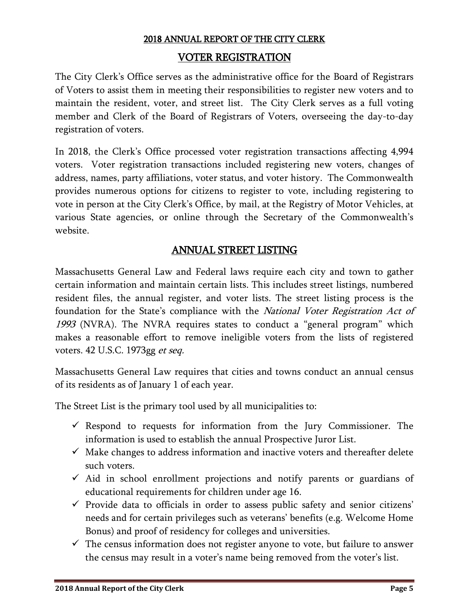#### VOTER REGISTRATION

The City Clerk's Office serves as the administrative office for the Board of Registrars of Voters to assist them in meeting their responsibilities to register new voters and to maintain the resident, voter, and street list. The City Clerk serves as a full voting member and Clerk of the Board of Registrars of Voters, overseeing the day-to-day registration of voters.

In 2018, the Clerk's Office processed voter registration transactions affecting 4,994 voters. Voter registration transactions included registering new voters, changes of address, names, party affiliations, voter status, and voter history. The Commonwealth provides numerous options for citizens to register to vote, including registering to vote in person at the City Clerk's Office, by mail, at the Registry of Motor Vehicles, at various State agencies, or online through the Secretary of the Commonwealth's website.

# ANNUAL STREET LISTING

Massachusetts General Law and Federal laws require each city and town to gather certain information and maintain certain lists. This includes street listings, numbered resident files, the annual register, and voter lists. The street listing process is the foundation for the State's compliance with the *National Voter Registration Act of* 1993 (NVRA). The NVRA requires states to conduct a "general program" which makes a reasonable effort to remove ineligible voters from the lists of registered voters. 42 U.S.C. 1973gg et seq.

Massachusetts General Law requires that cities and towns conduct an annual census of its residents as of January 1 of each year.

The Street List is the primary tool used by all municipalities to:

- $\checkmark$  Respond to requests for information from the Jury Commissioner. The information is used to establish the annual Prospective Juror List.
- $\checkmark$  Make changes to address information and inactive voters and thereafter delete such voters.
- $\checkmark$  Aid in school enrollment projections and notify parents or guardians of educational requirements for children under age 16.
- $\checkmark$  Provide data to officials in order to assess public safety and senior citizens' needs and for certain privileges such as veterans' benefits (e.g. Welcome Home Bonus) and proof of residency for colleges and universities.
- $\checkmark$  The census information does not register anyone to vote, but failure to answer the census may result in a voter's name being removed from the voter's list.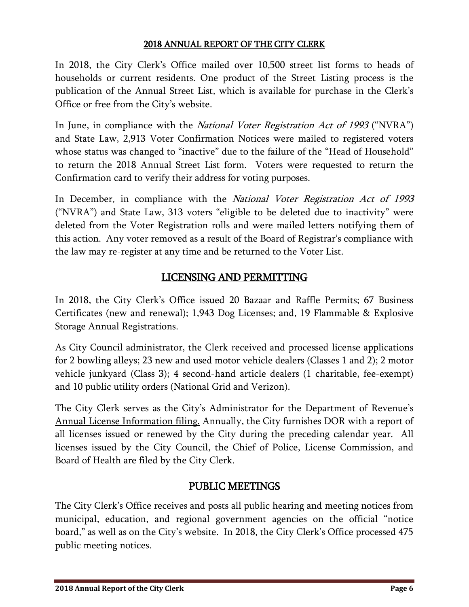In 2018, the City Clerk's Office mailed over 10,500 street list forms to heads of households or current residents. One product of the Street Listing process is the publication of the Annual Street List, which is available for purchase in the Clerk's Office or free from the City's website.

In June, in compliance with the *National Voter Registration Act of 1993* ("NVRA") and State Law, 2,913 Voter Confirmation Notices were mailed to registered voters whose status was changed to "inactive" due to the failure of the "Head of Household" to return the 2018 Annual Street List form. Voters were requested to return the Confirmation card to verify their address for voting purposes.

In December, in compliance with the *National Voter Registration Act of 1993* ("NVRA") and State Law, 313 voters "eligible to be deleted due to inactivity" were deleted from the Voter Registration rolls and were mailed letters notifying them of this action. Any voter removed as a result of the Board of Registrar's compliance with the law may re-register at any time and be returned to the Voter List.

# LICENSING AND PERMITTING

In 2018, the City Clerk's Office issued 20 Bazaar and Raffle Permits; 67 Business Certificates (new and renewal); 1,943 Dog Licenses; and, 19 Flammable & Explosive Storage Annual Registrations.

As City Council administrator, the Clerk received and processed license applications for 2 bowling alleys; 23 new and used motor vehicle dealers (Classes 1 and 2); 2 motor vehicle junkyard (Class 3); 4 second-hand article dealers (1 charitable, fee-exempt) and 10 public utility orders (National Grid and Verizon).

The City Clerk serves as the City's Administrator for the Department of Revenue's Annual License Information filing. Annually, the City furnishes DOR with a report of all licenses issued or renewed by the City during the preceding calendar year. All licenses issued by the City Council, the Chief of Police, License Commission, and Board of Health are filed by the City Clerk.

# PUBLIC MEETINGS

The City Clerk's Office receives and posts all public hearing and meeting notices from municipal, education, and regional government agencies on the official "notice board," as well as on the City's website. In 2018, the City Clerk's Office processed 475 public meeting notices.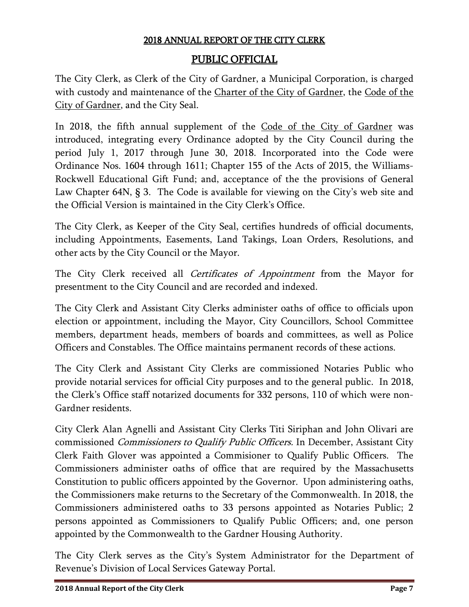# PUBLIC OFFICIAL

The City Clerk, as Clerk of the City of Gardner, a Municipal Corporation, is charged with custody and maintenance of the Charter of the City of Gardner, the Code of the City of Gardner, and the City Seal.

In 2018, the fifth annual supplement of the Code of the City of Gardner was introduced, integrating every Ordinance adopted by the City Council during the period July 1, 2017 through June 30, 2018. Incorporated into the Code were Ordinance Nos. 1604 through 1611; Chapter 155 of the Acts of 2015, the Williams-Rockwell Educational Gift Fund; and, acceptance of the the provisions of General Law Chapter 64N, § 3. The Code is available for viewing on the City's web site and the Official Version is maintained in the City Clerk's Office.

The City Clerk, as Keeper of the City Seal, certifies hundreds of official documents, including Appointments, Easements, Land Takings, Loan Orders, Resolutions, and other acts by the City Council or the Mayor.

The City Clerk received all Certificates of Appointment from the Mayor for presentment to the City Council and are recorded and indexed.

The City Clerk and Assistant City Clerks administer oaths of office to officials upon election or appointment, including the Mayor, City Councillors, School Committee members, department heads, members of boards and committees, as well as Police Officers and Constables. The Office maintains permanent records of these actions.

The City Clerk and Assistant City Clerks are commissioned Notaries Public who provide notarial services for official City purposes and to the general public. In 2018, the Clerk's Office staff notarized documents for 332 persons, 110 of which were non-Gardner residents.

City Clerk Alan Agnelli and Assistant City Clerks Titi Siriphan and John Olivari are commissioned Commissioners to Qualify Public Officers. In December, Assistant City Clerk Faith Glover was appointed a Commisioner to Qualify Public Officers. The Commissioners administer oaths of office that are required by the Massachusetts Constitution to public officers appointed by the Governor. Upon administering oaths, the Commissioners make returns to the Secretary of the Commonwealth. In 2018, the Commissioners administered oaths to 33 persons appointed as Notaries Public; 2 persons appointed as Commissioners to Qualify Public Officers; and, one person appointed by the Commonwealth to the Gardner Housing Authority.

The City Clerk serves as the City's System Administrator for the Department of Revenue's Division of Local Services Gateway Portal.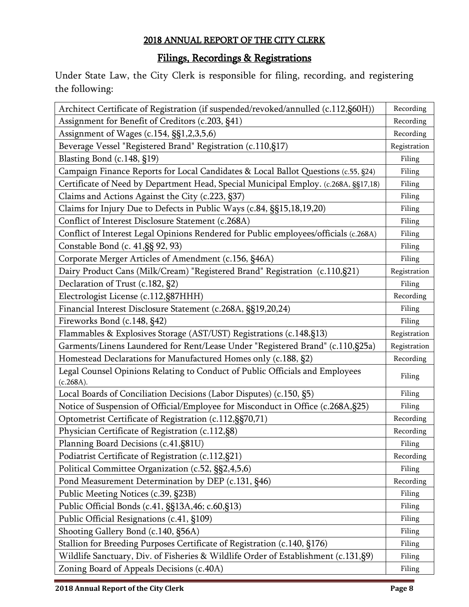# Filings, Recordings & Registrations

Under State Law, the City Clerk is responsible for filing, recording, and registering the following:

| Architect Certificate of Registration (if suspended/revoked/annulled (c.112,§60H))        | Recording    |
|-------------------------------------------------------------------------------------------|--------------|
| Assignment for Benefit of Creditors (c.203, §41)                                          | Recording    |
| Assignment of Wages (c.154, §§1,2,3,5,6)                                                  | Recording    |
| Beverage Vessel "Registered Brand" Registration (c.110,§17)                               | Registration |
| Blasting Bond (c.148, §19)                                                                | Filing       |
| Campaign Finance Reports for Local Candidates & Local Ballot Questions (c.55, §24)        | Filing       |
| Certificate of Need by Department Head, Special Municipal Employ. (c.268A, §§17,18)       | Filing       |
| Claims and Actions Against the City (c.223, §37)                                          | Filing       |
| Claims for Injury Due to Defects in Public Ways (c.84, §§15,18,19,20)                     | Filing       |
| Conflict of Interest Disclosure Statement (c.268A)                                        | Filing       |
| Conflict of Interest Legal Opinions Rendered for Public employees/officials (c.268A)      | Filing       |
| Constable Bond (c. 41, §§ 92, 93)                                                         | Filing       |
| Corporate Merger Articles of Amendment (c.156, §46A)                                      | Filing       |
| Dairy Product Cans (Milk/Cream) "Registered Brand" Registration (c.110,§21)               | Registration |
| Declaration of Trust (c.182, §2)                                                          | Filing       |
| Electrologist License (c.112, §87HHH)                                                     | Recording    |
| Financial Interest Disclosure Statement (c.268A, §§19,20,24)                              | Filing       |
| Fireworks Bond (c.148, §42)                                                               | Filing       |
| Flammables & Explosives Storage (AST/UST) Registrations (c.148, §13)                      | Registration |
| Garments/Linens Laundered for Rent/Lease Under "Registered Brand" (c.110,§25a)            | Registration |
| Homestead Declarations for Manufactured Homes only (c.188, §2)                            | Recording    |
| Legal Counsel Opinions Relating to Conduct of Public Officials and Employees<br>(c.268A). | Filing       |
| Local Boards of Conciliation Decisions (Labor Disputes) (c.150, §5)                       | Filing       |
| Notice of Suspension of Official/Employee for Misconduct in Office (c.268A, §25)          | Filing       |
| Optometrist Certificate of Registration (c.112, §§70, 71)                                 | Recording    |
| Physician Certificate of Registration (c.112, §8)                                         | Recording    |
| Planning Board Decisions (c.41, §81U)                                                     | Filing       |
| Podiatrist Certificate of Registration (c.112, §21)                                       | Recording    |
| Political Committee Organization (c.52, §§2,4,5,6)                                        | Filing       |
| Pond Measurement Determination by DEP (c.131, §46)                                        | Recording    |
| Public Meeting Notices (c.39, §23B)                                                       | Filing       |
| Public Official Bonds (c.41, §§13A,46; c.60,§13)                                          | Filing       |
| Public Official Resignations (c.41, §109)                                                 | Filing       |
| Shooting Gallery Bond (c.140, §56A)                                                       | Filing       |
| Stallion for Breeding Purposes Certificate of Registration (c.140, §176)                  | Filing       |
| Wildlife Sanctuary, Div. of Fisheries & Wildlife Order of Establishment (c.131, §9)       | Filing       |
| Zoning Board of Appeals Decisions (c.40A)                                                 | Filing       |